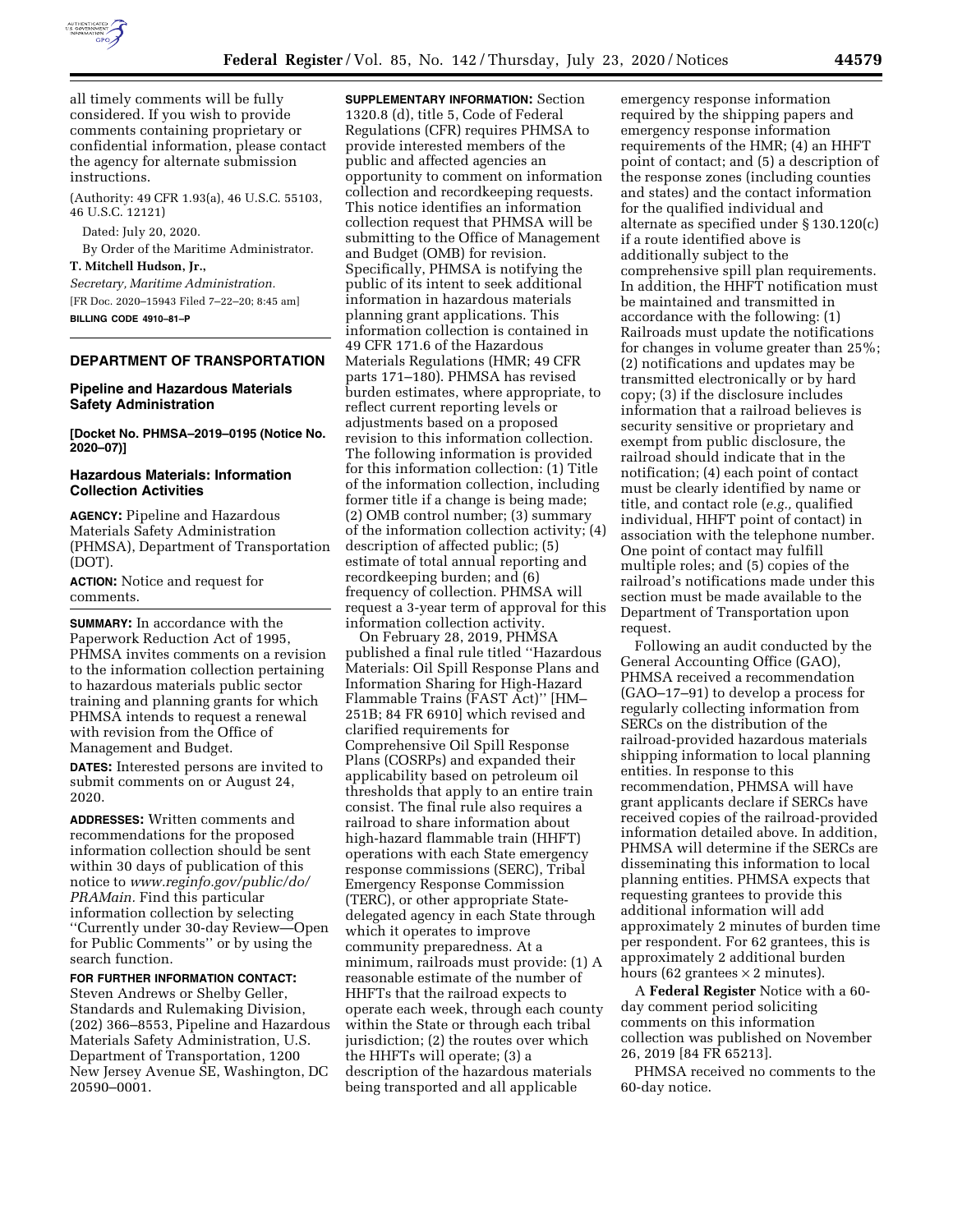

all timely comments will be fully considered. If you wish to provide comments containing proprietary or confidential information, please contact the agency for alternate submission instructions.

(Authority: 49 CFR 1.93(a), 46 U.S.C. 55103, 46 U.S.C. 12121)

Dated: July 20, 2020.

By Order of the Maritime Administrator.

# **T. Mitchell Hudson, Jr.,**

*Secretary, Maritime Administration.*  [FR Doc. 2020–15943 Filed 7–22–20; 8:45 am] **BILLING CODE 4910–81–P** 

## **DEPARTMENT OF TRANSPORTATION**

#### **Pipeline and Hazardous Materials Safety Administration**

**[Docket No. PHMSA–2019–0195 (Notice No. 2020–07)]** 

## **Hazardous Materials: Information Collection Activities**

**AGENCY:** Pipeline and Hazardous Materials Safety Administration (PHMSA), Department of Transportation (DOT).

**ACTION:** Notice and request for comments.

**SUMMARY:** In accordance with the Paperwork Reduction Act of 1995, PHMSA invites comments on a revision to the information collection pertaining to hazardous materials public sector training and planning grants for which PHMSA intends to request a renewal with revision from the Office of Management and Budget.

**DATES:** Interested persons are invited to submit comments on or August 24, 2020.

**ADDRESSES:** Written comments and recommendations for the proposed information collection should be sent within 30 days of publication of this notice to *[www.reginfo.gov/public/do/](http://www.reginfo.gov/public/do/PRAMain) [PRAMain.](http://www.reginfo.gov/public/do/PRAMain)* Find this particular information collection by selecting ''Currently under 30-day Review—Open for Public Comments'' or by using the search function.

**FOR FURTHER INFORMATION CONTACT:**  Steven Andrews or Shelby Geller, Standards and Rulemaking Division, (202) 366–8553, Pipeline and Hazardous Materials Safety Administration, U.S. Department of Transportation, 1200 New Jersey Avenue SE, Washington, DC 20590–0001.

**SUPPLEMENTARY INFORMATION:** Section 1320.8 (d), title 5, Code of Federal Regulations (CFR) requires PHMSA to provide interested members of the public and affected agencies an opportunity to comment on information collection and recordkeeping requests. This notice identifies an information collection request that PHMSA will be submitting to the Office of Management and Budget (OMB) for revision. Specifically, PHMSA is notifying the public of its intent to seek additional information in hazardous materials planning grant applications. This information collection is contained in 49 CFR 171.6 of the Hazardous Materials Regulations (HMR; 49 CFR parts 171–180). PHMSA has revised burden estimates, where appropriate, to reflect current reporting levels or adjustments based on a proposed revision to this information collection. The following information is provided for this information collection: (1) Title of the information collection, including former title if a change is being made; (2) OMB control number; (3) summary of the information collection activity; (4) description of affected public; (5) estimate of total annual reporting and recordkeeping burden; and (6) frequency of collection. PHMSA will request a 3-year term of approval for this information collection activity.

On February 28, 2019, PHMSA published a final rule titled ''Hazardous Materials: Oil Spill Response Plans and Information Sharing for High-Hazard Flammable Trains (FAST Act)'' [HM– 251B; 84 FR 6910] which revised and clarified requirements for Comprehensive Oil Spill Response Plans (COSRPs) and expanded their applicability based on petroleum oil thresholds that apply to an entire train consist. The final rule also requires a railroad to share information about high-hazard flammable train (HHFT) operations with each State emergency response commissions (SERC), Tribal Emergency Response Commission (TERC), or other appropriate Statedelegated agency in each State through which it operates to improve community preparedness. At a minimum, railroads must provide: (1) A reasonable estimate of the number of HHFTs that the railroad expects to operate each week, through each county within the State or through each tribal jurisdiction; (2) the routes over which the HHFTs will operate; (3) a description of the hazardous materials being transported and all applicable

emergency response information required by the shipping papers and emergency response information requirements of the HMR; (4) an HHFT point of contact; and (5) a description of the response zones (including counties and states) and the contact information for the qualified individual and alternate as specified under § 130.120(c) if a route identified above is additionally subject to the comprehensive spill plan requirements. In addition, the HHFT notification must be maintained and transmitted in accordance with the following: (1) Railroads must update the notifications for changes in volume greater than 25%; (2) notifications and updates may be transmitted electronically or by hard copy; (3) if the disclosure includes information that a railroad believes is security sensitive or proprietary and exempt from public disclosure, the railroad should indicate that in the notification; (4) each point of contact must be clearly identified by name or title, and contact role (*e.g.,* qualified individual, HHFT point of contact) in association with the telephone number. One point of contact may fulfill multiple roles; and (5) copies of the railroad's notifications made under this section must be made available to the Department of Transportation upon request.

Following an audit conducted by the General Accounting Office (GAO), PHMSA received a recommendation (GAO–17–91) to develop a process for regularly collecting information from SERCs on the distribution of the railroad-provided hazardous materials shipping information to local planning entities. In response to this recommendation, PHMSA will have grant applicants declare if SERCs have received copies of the railroad-provided information detailed above. In addition, PHMSA will determine if the SERCs are disseminating this information to local planning entities. PHMSA expects that requesting grantees to provide this additional information will add approximately 2 minutes of burden time per respondent. For 62 grantees, this is approximately 2 additional burden hours (62 grantees  $\times$  2 minutes).

A **Federal Register** Notice with a 60 day comment period soliciting comments on this information collection was published on November 26, 2019 [84 FR 65213].

PHMSA received no comments to the 60-day notice.